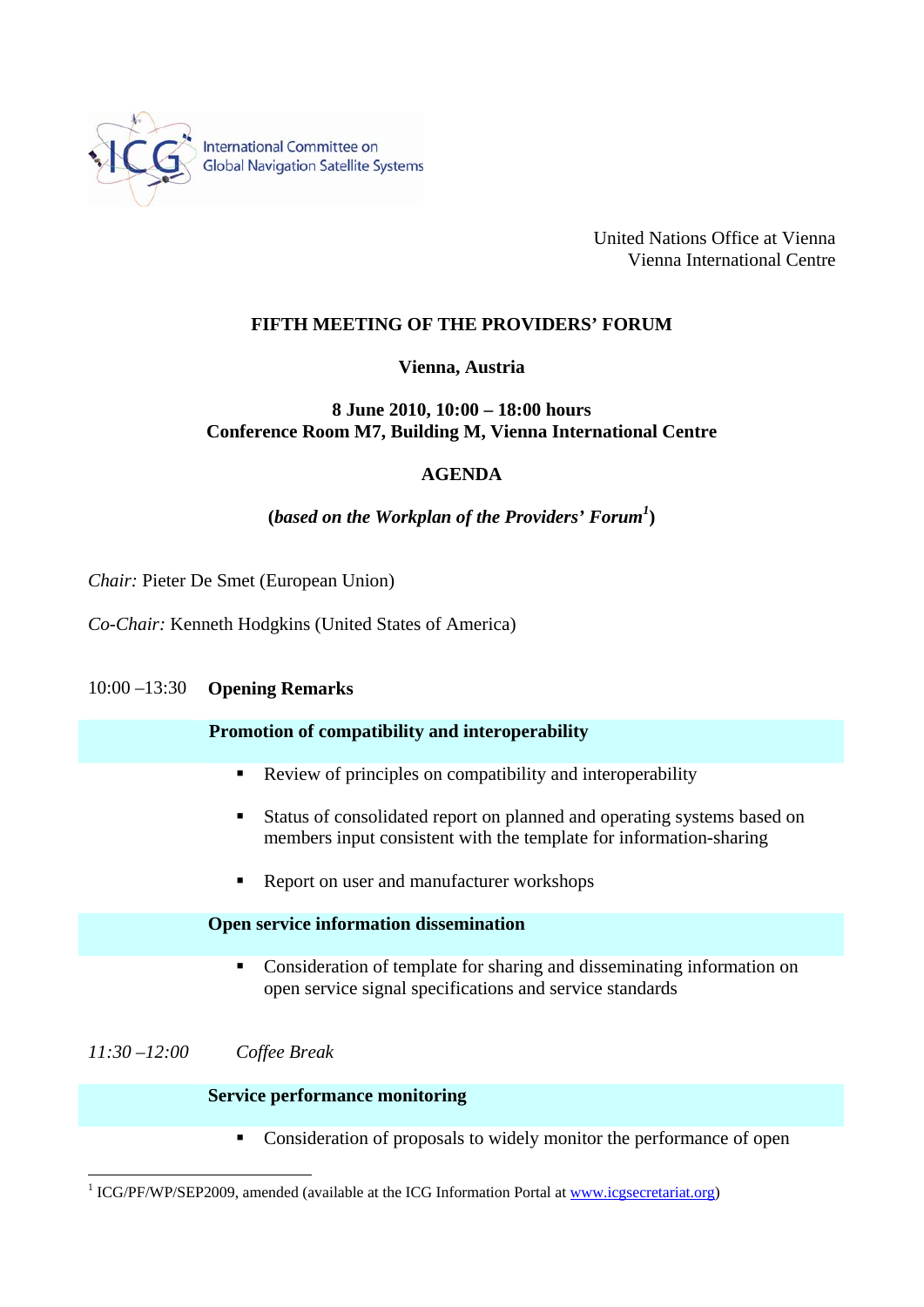

International Committee on **Global Navigation Satellite Systems** 

> United Nations Office at Vienna Vienna International Centre

## **FIFTH MEETING OF THE PROVIDERS' FORUM**

### **Vienna, Austria**

# **8 June 2010, 10:00 – 18:00 hours Conference Room M7, Building M, Vienna International Centre**

## **AGENDA**

# **(***based on the Workplan of the Providers' Forum<sup>1</sup>* **)**

*Chair:* Pieter De Smet (European Union)

*Co-Chair:* Kenneth Hodgkins (United States of America)

### 10:00 –13:30 **Opening Remarks**

### **Promotion of compatibility and interoperability**

- Review of principles on compatibility and interoperability
- Status of consolidated report on planned and operating systems based on members input consistent with the template for information-sharing
- Report on user and manufacturer workshops

#### **Open service information dissemination**

• Consideration of template for sharing and disseminating information on open service signal specifications and service standards

# *11:30 –12:00 Coffee Break*

 $\overline{a}$ 

## **Service performance monitoring**

• Consideration of proposals to widely monitor the performance of open

<sup>&</sup>lt;sup>1</sup> ICG/PF/WP/SEP2009, amended (available at the ICG Information Portal at www.icgsecretariat.org)